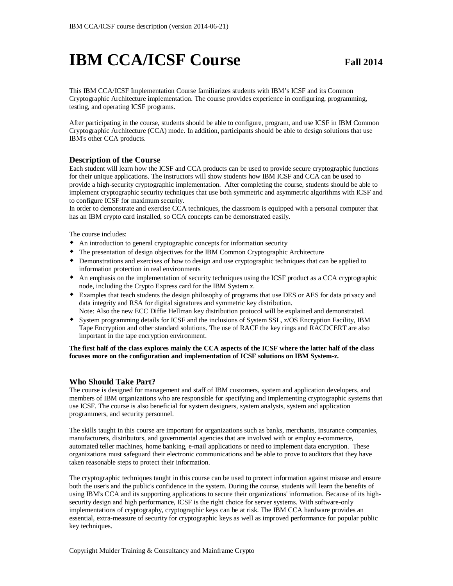# **IBM CCA/ICSF Course Fall 2014**

This IBM CCA/ICSF Implementation Course familiarizes students with IBM's ICSF and its Common Cryptographic Architecture implementation. The course provides experience in configuring, programming, testing, and operating ICSF programs.

After participating in the course, students should be able to configure, program, and use ICSF in IBM Common Cryptographic Architecture (CCA) mode. In addition, participants should be able to design solutions that use IBM's other CCA products.

### **Description of the Course**

Each student will learn how the ICSF and CCA products can be used to provide secure cryptographic functions for their unique applications. The instructors will show students how IBM ICSF and CCA can be used to provide a high-security cryptographic implementation. After completing the course, students should be able to implement cryptographic security techniques that use both symmetric and asymmetric algorithms with ICSF and to configure ICSF for maximum security.

In order to demonstrate and exercise CCA techniques, the classroom is equipped with a personal computer that has an IBM crypto card installed, so CCA concepts can be demonstrated easily.

The course includes:

- An introduction to general cryptographic concepts for information security
- The presentation of design objectives for the IBM Common Cryptographic Architecture
- Demonstrations and exercises of how to design and use cryptographic techniques that can be applied to information protection in real environments
- An emphasis on the implementation of security techniques using the ICSF product as a CCA cryptographic node, including the Crypto Express card for the IBM System z.
- Examples that teach students the design philosophy of programs that use DES or AES for data privacy and data integrity and RSA for digital signatures and symmetric key distribution. Note: Also the new ECC Diffie Hellman key distribution protocol will be explained and demonstrated.
- System programming details for ICSF and the inclusions of System SSL, z/OS Encryption Facility, IBM Tape Encryption and other standard solutions. The use of RACF the key rings and RACDCERT are also important in the tape encryption environment.

#### **The first half of the class explores mainly the CCA aspects of the ICSF where the latter half of the class focuses more on the configuration and implementation of ICSF solutions on IBM System-z.**

#### **Who Should Take Part?**

The course is designed for management and staff of IBM customers, system and application developers, and members of IBM organizations who are responsible for specifying and implementing cryptographic systems that use ICSF. The course is also beneficial for system designers, system analysts, system and application programmers, and security personnel.

The skills taught in this course are important for organizations such as banks, merchants, insurance companies, manufacturers, distributors, and governmental agencies that are involved with or employ e-commerce, automated teller machines, home banking, e-mail applications or need to implement data encryption. These organizations must safeguard their electronic communications and be able to prove to auditors that they have taken reasonable steps to protect their information.

The cryptographic techniques taught in this course can be used to protect information against misuse and ensure both the user's and the public's confidence in the system. During the course, students will learn the benefits of using IBM's CCA and its supporting applications to secure their organizations' information. Because of its highsecurity design and high performance, ICSF is the right choice for server systems. With software-only implementations of cryptography, cryptographic keys can be at risk. The IBM CCA hardware provides an essential, extra-measure of security for cryptographic keys as well as improved performance for popular public key techniques.